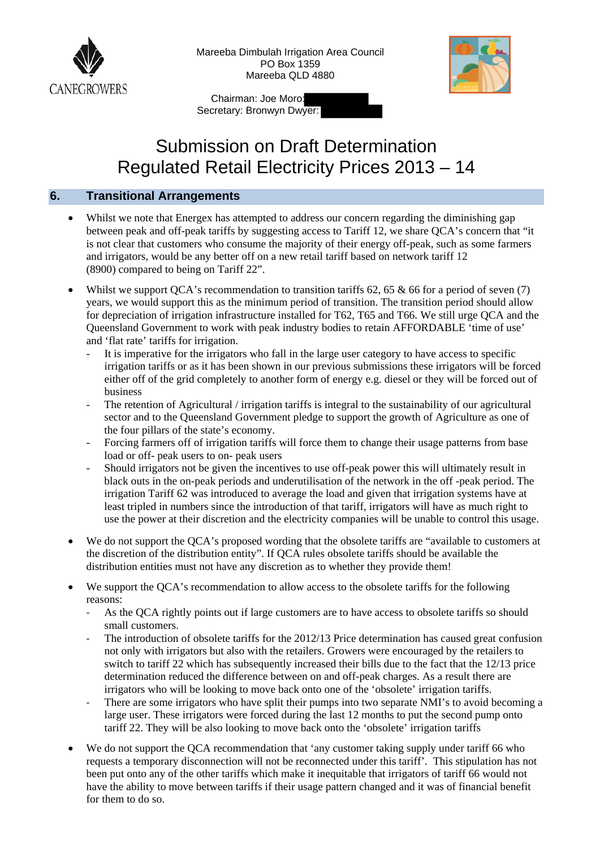

Mareeba Dimbulah Irrigation Area Council PO Box 1359 Mareeba QLD 4880



 Chairman: Joe Moro: Secretary: Bronwyn Dwyer:

# Submission on Draft Determination Regulated Retail Electricity Prices 2013 – 14

## **6. Transitional Arrangements**

- Whilst we note that Energex has attempted to address our concern regarding the diminishing gap between peak and off-peak tariffs by suggesting access to Tariff 12, we share QCA's concern that "it is not clear that customers who consume the majority of their energy off-peak, such as some farmers and irrigators, would be any better off on a new retail tariff based on network tariff 12 (8900) compared to being on Tariff 22".
- Whilst we support QCA's recommendation to transition tariffs 62, 65  $\&$  66 for a period of seven (7) years, we would support this as the minimum period of transition. The transition period should allow for depreciation of irrigation infrastructure installed for T62, T65 and T66. We still urge QCA and the Queensland Government to work with peak industry bodies to retain AFFORDABLE 'time of use' and 'flat rate' tariffs for irrigation.
	- It is imperative for the irrigators who fall in the large user category to have access to specific irrigation tariffs or as it has been shown in our previous submissions these irrigators will be forced either off of the grid completely to another form of energy e.g. diesel or they will be forced out of business
	- The retention of Agricultural / irrigation tariffs is integral to the sustainability of our agricultural sector and to the Queensland Government pledge to support the growth of Agriculture as one of the four pillars of the state's economy.
	- Forcing farmers off of irrigation tariffs will force them to change their usage patterns from base load or off- peak users to on- peak users
	- Should irrigators not be given the incentives to use off-peak power this will ultimately result in black outs in the on-peak periods and underutilisation of the network in the off -peak period. The irrigation Tariff 62 was introduced to average the load and given that irrigation systems have at least tripled in numbers since the introduction of that tariff, irrigators will have as much right to use the power at their discretion and the electricity companies will be unable to control this usage.
- We do not support the QCA's proposed wording that the obsolete tariffs are "available to customers at the discretion of the distribution entity". If QCA rules obsolete tariffs should be available the distribution entities must not have any discretion as to whether they provide them!
- We support the QCA's recommendation to allow access to the obsolete tariffs for the following reasons:
	- ‐ As the QCA rightly points out if large customers are to have access to obsolete tariffs so should small customers.
	- The introduction of obsolete tariffs for the 2012/13 Price determination has caused great confusion not only with irrigators but also with the retailers. Growers were encouraged by the retailers to switch to tariff 22 which has subsequently increased their bills due to the fact that the 12/13 price determination reduced the difference between on and off-peak charges. As a result there are irrigators who will be looking to move back onto one of the 'obsolete' irrigation tariffs.
	- There are some irrigators who have split their pumps into two separate NMI's to avoid becoming a large user. These irrigators were forced during the last 12 months to put the second pump onto tariff 22. They will be also looking to move back onto the 'obsolete' irrigation tariffs
- We do not support the QCA recommendation that 'any customer taking supply under tariff 66 who requests a temporary disconnection will not be reconnected under this tariff'. This stipulation has not been put onto any of the other tariffs which make it inequitable that irrigators of tariff 66 would not have the ability to move between tariffs if their usage pattern changed and it was of financial benefit for them to do so.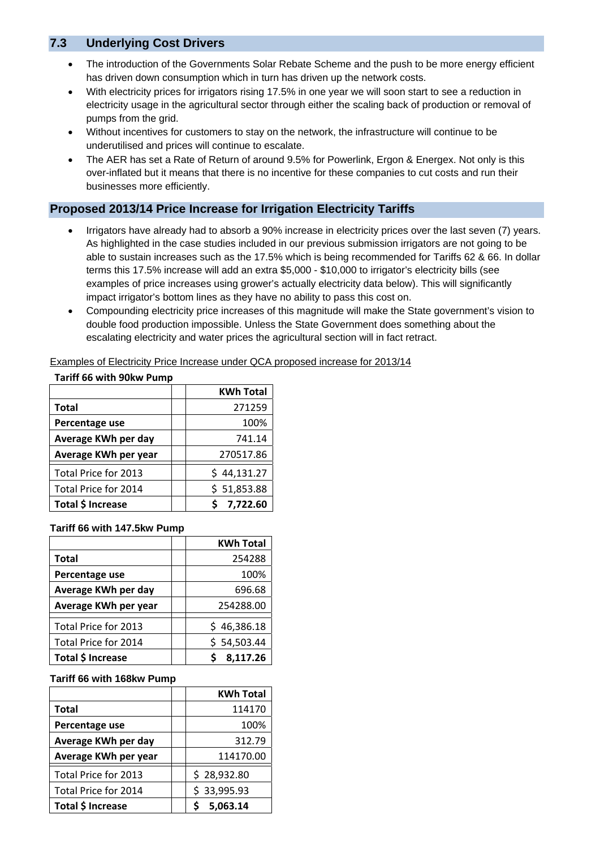## **7.3 Underlying Cost Drivers**

- The introduction of the Governments Solar Rebate Scheme and the push to be more energy efficient has driven down consumption which in turn has driven up the network costs.
- With electricity prices for irrigators rising 17.5% in one year we will soon start to see a reduction in electricity usage in the agricultural sector through either the scaling back of production or removal of pumps from the grid.
- Without incentives for customers to stay on the network, the infrastructure will continue to be underutilised and prices will continue to escalate.
- The AER has set a Rate of Return of around 9.5% for Powerlink, Ergon & Energex. Not only is this over-inflated but it means that there is no incentive for these companies to cut costs and run their businesses more efficiently.

## **Proposed 2013/14 Price Increase for Irrigation Electricity Tariffs**

- Irrigators have already had to absorb a 90% increase in electricity prices over the last seven (7) years. As highlighted in the case studies included in our previous submission irrigators are not going to be able to sustain increases such as the 17.5% which is being recommended for Tariffs 62 & 66. In dollar terms this 17.5% increase will add an extra \$5,000 - \$10,000 to irrigator's electricity bills (see examples of price increases using grower's actually electricity data below). This will significantly impact irrigator's bottom lines as they have no ability to pass this cost on.
- Compounding electricity price increases of this magnitude will make the State government's vision to double food production impossible. Unless the State Government does something about the escalating electricity and water prices the agricultural section will in fact retract.

| Tariff 66 with 90kw Pump |                  |
|--------------------------|------------------|
|                          | <b>KWh Total</b> |
| Total                    | 271259           |
| Percentage use           | 100%             |
| Average KWh per day      | 741.14           |
| Average KWh per year     | 270517.86        |
| Total Price for 2013     | \$44,131.27      |
| Total Price for 2014     | \$51,853.88      |
| Total \$ Increase        | 7,722.60         |

Examples of Electricity Price Increase under QCA proposed increase for 2013/14

#### **Tariff 66 with 147.5kw Pump**

**Tariff 66 with 90kw Pump**

|                      | <b>KWh Total</b> |
|----------------------|------------------|
| Total                | 254288           |
| Percentage use       | 100%             |
| Average KWh per day  | 696.68           |
| Average KWh per year | 254288.00        |
| Total Price for 2013 | \$46,386.18      |
| Total Price for 2014 | \$54,503.44      |
| Total \$ Increase    | 8,117.26         |

#### **Tariff 66 with 168kw Pump**

|                      | <b>KWh Total</b> |
|----------------------|------------------|
| <b>Total</b>         | 114170           |
| Percentage use       | 100%             |
| Average KWh per day  | 312.79           |
| Average KWh per year | 114170.00        |
| Total Price for 2013 | \$28,932.80      |
| Total Price for 2014 | \$33,995.93      |
| Total \$ Increase    | 5,063.14         |